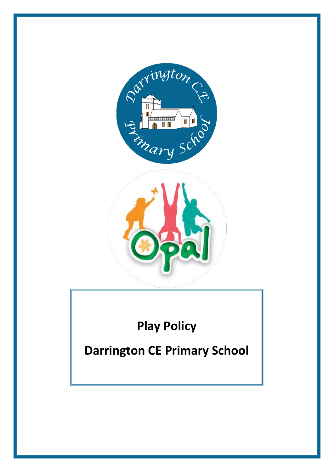



# **Play Policy**

## **Darrington CE Primary School**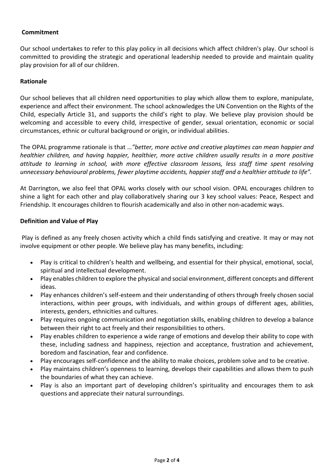#### **Commitment**

Our school undertakes to refer to this play policy in all decisions which affect children's play. Our school is committed to providing the strategic and operational leadership needed to provide and maintain quality play provision for all of our children.

#### **Rationale**

Our school believes that all children need opportunities to play which allow them to explore, manipulate, experience and affect their environment. The school acknowledges the UN Convention on the Rights of the Child, especially Article 31, and supports the child's right to play. We believe play provision should be welcoming and accessible to every child, irrespective of gender, sexual orientation, economic or social circumstances, ethnic or cultural background or origin, or individual abilities.

The OPAL programme rationale is that …*"better, more active and creative playtimes can mean happier and healthier children, and having happier, healthier, more active children usually results in a more positive attitude to learning in school, with more effective classroom lessons, less staff time spent resolving unnecessary behavioural problems, fewer playtime accidents, happier staff and a healthier attitude to life".*

At Darrington, we also feel that OPAL works closely with our school vision. OPAL encourages children to shine a light for each other and play collaboratively sharing our 3 key school values: Peace, Respect and Friendship. It encourages children to flourish academically and also in other non-academic ways.

#### **Definition and Value of Play**

Play is defined as any freely chosen activity which a child finds satisfying and creative. It may or may not involve equipment or other people. We believe play has many benefits, including:

- Play is critical to children's health and wellbeing, and essential for their physical, emotional, social, spiritual and intellectual development.
- Play enables children to explore the physical and social environment, different concepts and different ideas.
- Play enhances children's self-esteem and their understanding of others through freely chosen social interactions, within peer groups, with individuals, and within groups of different ages, abilities, interests, genders, ethnicities and cultures.
- Play requires ongoing communication and negotiation skills, enabling children to develop a balance between their right to act freely and their responsibilities to others.
- Play enables children to experience a wide range of emotions and develop their ability to cope with these, including sadness and happiness, rejection and acceptance, frustration and achievement, boredom and fascination, fear and confidence.
- Play encourages self-confidence and the ability to make choices, problem solve and to be creative.
- Play maintains children's openness to learning, develops their capabilities and allows them to push the boundaries of what they can achieve.
- Play is also an important part of developing children's spirituality and encourages them to ask questions and appreciate their natural surroundings.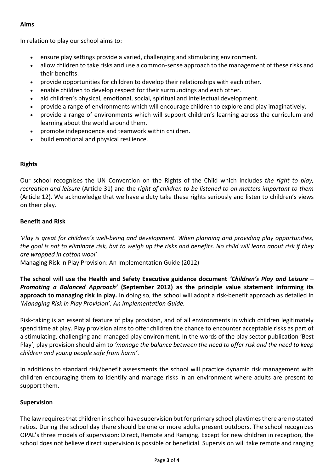## **Aims**

In relation to play our school aims to:

- ensure play settings provide a varied, challenging and stimulating environment.
- allow children to take risks and use a common-sense approach to the management of these risks and their benefits.
- provide opportunities for children to develop their relationships with each other.
- enable children to develop respect for their surroundings and each other.
- aid children's physical, emotional, social, spiritual and intellectual development.
- provide a range of environments which will encourage children to explore and play imaginatively.
- provide a range of environments which will support children's learning across the curriculum and learning about the world around them.
- promote independence and teamwork within children.
- build emotional and physical resilience.

## **Rights**

Our school recognises the UN Convention on the Rights of the Child which includes *the right to play, recreation and leisure* (Article 31) and the *right of children to be listened to on matters important to them* (Article 12). We acknowledge that we have a duty take these rights seriously and listen to children's views on their play.

## **Benefit and Risk**

*'Play is great for children's well-being and development. When planning and providing play opportunities, the goal is not to eliminate risk, but to weigh up the risks and benefits. No child will learn about risk if they are wrapped in cotton wool'*

Managing Risk in Play Provision: An Implementation Guide (2012)

**The school will use the Health and Safety Executive guidance document** *'Children's Play and Leisure – Promoting a Balanced Approach'* **(September 2012) as the principle value statement informing its approach to managing risk in play.** In doing so, the school will adopt a risk-benefit approach as detailed in *'Managing Risk in Play Provision': An Implementation Guide.*

Risk-taking is an essential feature of play provision, and of all environments in which children legitimately spend time at play. Play provision aims to offer children the chance to encounter acceptable risks as part of a stimulating, challenging and managed play environment. In the words of the play sector publication 'Best Play', play provision should aim to *'manage the balance between the need to offer risk and the need to keep children and young people safe from harm'*.

In additions to standard risk/benefit assessments the school will practice dynamic risk management with children encouraging them to identify and manage risks in an environment where adults are present to support them.

### **Supervision**

The law requires that children in school have supervision but for primary school playtimes there are no stated ratios. During the school day there should be one or more adults present outdoors. The school recognizes OPAL's three models of supervision: Direct, Remote and Ranging. Except for new children in reception, the school does not believe direct supervision is possible or beneficial. Supervision will take remote and ranging